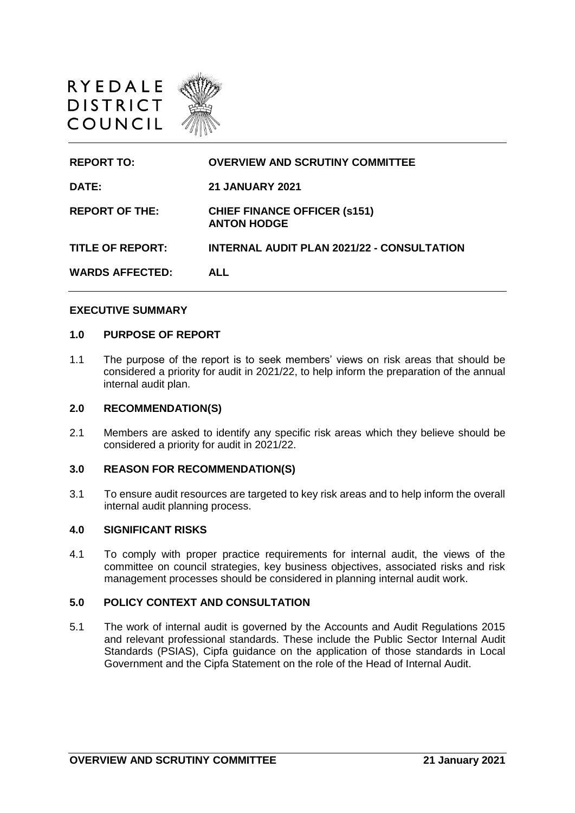

| <b>REPORT TO:</b>       | <b>OVERVIEW AND SCRUTINY COMMITTEE</b>                    |
|-------------------------|-----------------------------------------------------------|
| DATE:                   | <b>21 JANUARY 2021</b>                                    |
| <b>REPORT OF THE:</b>   | <b>CHIEF FINANCE OFFICER (s151)</b><br><b>ANTON HODGE</b> |
| <b>TITLE OF REPORT:</b> | <b>INTERNAL AUDIT PLAN 2021/22 - CONSULTATION</b>         |
| <b>WARDS AFFECTED:</b>  | <b>ALL</b>                                                |
|                         |                                                           |

#### **EXECUTIVE SUMMARY**

#### **1.0 PURPOSE OF REPORT**

1.1 The purpose of the report is to seek members' views on risk areas that should be considered a priority for audit in 2021/22, to help inform the preparation of the annual internal audit plan.

## **2.0 RECOMMENDATION(S)**

2.1 Members are asked to identify any specific risk areas which they believe should be considered a priority for audit in 2021/22.

### **3.0 REASON FOR RECOMMENDATION(S)**

3.1 To ensure audit resources are targeted to key risk areas and to help inform the overall internal audit planning process.

### **4.0 SIGNIFICANT RISKS**

4.1 To comply with proper practice requirements for internal audit, the views of the committee on council strategies, key business objectives, associated risks and risk management processes should be considered in planning internal audit work.

## **5.0 POLICY CONTEXT AND CONSULTATION**

5.1 The work of internal audit is governed by the Accounts and Audit Regulations 2015 and relevant professional standards. These include the Public Sector Internal Audit Standards (PSIAS), Cipfa guidance on the application of those standards in Local Government and the Cipfa Statement on the role of the Head of Internal Audit.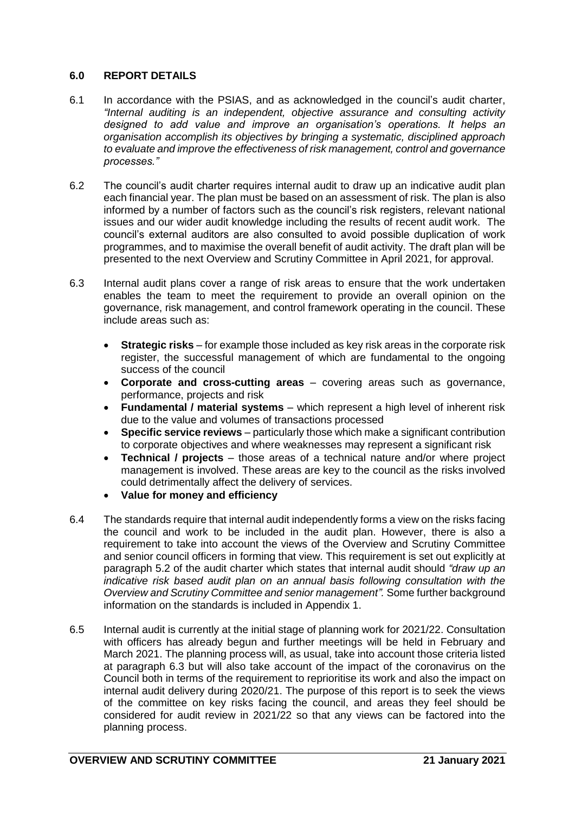# **6.0 REPORT DETAILS**

- 6.1 In accordance with the PSIAS, and as acknowledged in the council's audit charter, *"Internal auditing is an independent, objective assurance and consulting activity designed to add value and improve an organisation's operations. It helps an organisation accomplish its objectives by bringing a systematic, disciplined approach to evaluate and improve the effectiveness of risk management, control and governance processes."*
- 6.2 The council's audit charter requires internal audit to draw up an indicative audit plan each financial year. The plan must be based on an assessment of risk. The plan is also informed by a number of factors such as the council's risk registers, relevant national issues and our wider audit knowledge including the results of recent audit work. The council's external auditors are also consulted to avoid possible duplication of work programmes, and to maximise the overall benefit of audit activity. The draft plan will be presented to the next Overview and Scrutiny Committee in April 2021, for approval.
- 6.3 Internal audit plans cover a range of risk areas to ensure that the work undertaken enables the team to meet the requirement to provide an overall opinion on the governance, risk management, and control framework operating in the council. These include areas such as:
	- **Strategic risks** for example those included as key risk areas in the corporate risk register, the successful management of which are fundamental to the ongoing success of the council
	- **Corporate and cross-cutting areas** covering areas such as governance, performance, projects and risk
	- **Fundamental / material systems** which represent a high level of inherent risk due to the value and volumes of transactions processed
	- **Specific service reviews** particularly those which make a significant contribution to corporate objectives and where weaknesses may represent a significant risk
	- **Technical / projects** those areas of a technical nature and/or where project management is involved. These areas are key to the council as the risks involved could detrimentally affect the delivery of services.
	- **Value for money and efficiency**
- 6.4 The standards require that internal audit independently forms a view on the risks facing the council and work to be included in the audit plan. However, there is also a requirement to take into account the views of the Overview and Scrutiny Committee and senior council officers in forming that view. This requirement is set out explicitly at paragraph 5.2 of the audit charter which states that internal audit should *"draw up an indicative risk based audit plan on an annual basis following consultation with the Overview and Scrutiny Committee and senior management".* Some further background information on the standards is included in Appendix 1.
- 6.5 Internal audit is currently at the initial stage of planning work for 2021/22. Consultation with officers has already begun and further meetings will be held in February and March 2021. The planning process will, as usual, take into account those criteria listed at paragraph 6.3 but will also take account of the impact of the coronavirus on the Council both in terms of the requirement to reprioritise its work and also the impact on internal audit delivery during 2020/21. The purpose of this report is to seek the views of the committee on key risks facing the council, and areas they feel should be considered for audit review in 2021/22 so that any views can be factored into the planning process.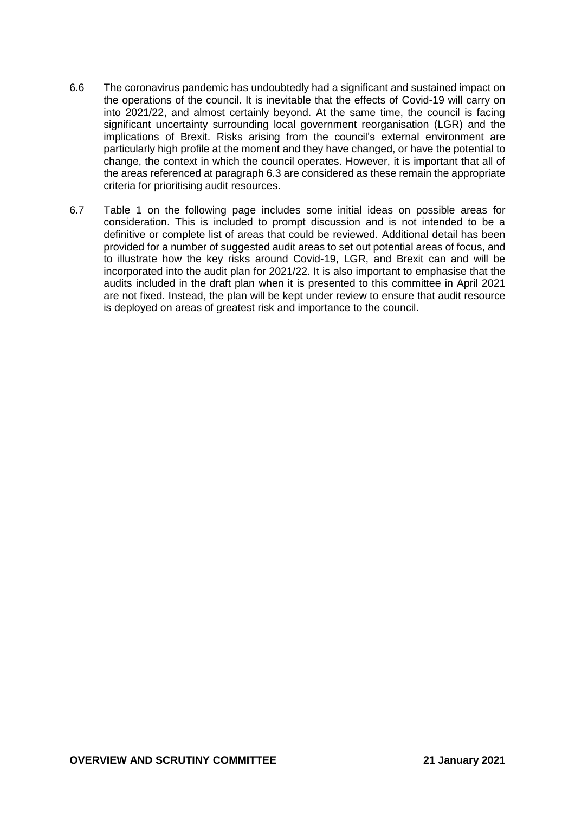- 6.6 The coronavirus pandemic has undoubtedly had a significant and sustained impact on the operations of the council. It is inevitable that the effects of Covid-19 will carry on into 2021/22, and almost certainly beyond. At the same time, the council is facing significant uncertainty surrounding local government reorganisation (LGR) and the implications of Brexit. Risks arising from the council's external environment are particularly high profile at the moment and they have changed, or have the potential to change, the context in which the council operates. However, it is important that all of the areas referenced at paragraph 6.3 are considered as these remain the appropriate criteria for prioritising audit resources.
- 6.7 Table 1 on the following page includes some initial ideas on possible areas for consideration. This is included to prompt discussion and is not intended to be a definitive or complete list of areas that could be reviewed. Additional detail has been provided for a number of suggested audit areas to set out potential areas of focus, and to illustrate how the key risks around Covid-19, LGR, and Brexit can and will be incorporated into the audit plan for 2021/22. It is also important to emphasise that the audits included in the draft plan when it is presented to this committee in April 2021 are not fixed. Instead, the plan will be kept under review to ensure that audit resource is deployed on areas of greatest risk and importance to the council.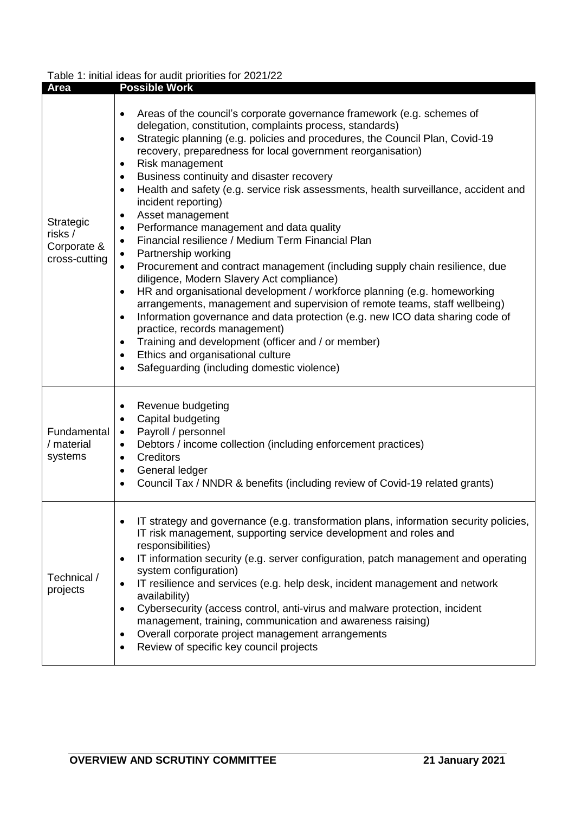# Table 1: initial ideas for audit priorities for 2021/22

| Area                                                 | <b>I able 1. Illiual lucas for addit prioritics for 2021/22</b><br><b>Possible Work</b>                                                                                                                                                                                                                                                                                                                                                                                                                                                                                                                                                                                                                                                                                                                                                                                                                                                                                                                                                                                                                                                                                                                                                                                                                                                                        |
|------------------------------------------------------|----------------------------------------------------------------------------------------------------------------------------------------------------------------------------------------------------------------------------------------------------------------------------------------------------------------------------------------------------------------------------------------------------------------------------------------------------------------------------------------------------------------------------------------------------------------------------------------------------------------------------------------------------------------------------------------------------------------------------------------------------------------------------------------------------------------------------------------------------------------------------------------------------------------------------------------------------------------------------------------------------------------------------------------------------------------------------------------------------------------------------------------------------------------------------------------------------------------------------------------------------------------------------------------------------------------------------------------------------------------|
|                                                      |                                                                                                                                                                                                                                                                                                                                                                                                                                                                                                                                                                                                                                                                                                                                                                                                                                                                                                                                                                                                                                                                                                                                                                                                                                                                                                                                                                |
| Strategic<br>risks /<br>Corporate &<br>cross-cutting | Areas of the council's corporate governance framework (e.g. schemes of<br>$\bullet$<br>delegation, constitution, complaints process, standards)<br>Strategic planning (e.g. policies and procedures, the Council Plan, Covid-19<br>$\bullet$<br>recovery, preparedness for local government reorganisation)<br>Risk management<br>$\bullet$<br>Business continuity and disaster recovery<br>$\bullet$<br>Health and safety (e.g. service risk assessments, health surveillance, accident and<br>$\bullet$<br>incident reporting)<br>Asset management<br>$\bullet$<br>Performance management and data quality<br>$\bullet$<br>Financial resilience / Medium Term Financial Plan<br>$\bullet$<br>Partnership working<br>$\bullet$<br>Procurement and contract management (including supply chain resilience, due<br>$\bullet$<br>diligence, Modern Slavery Act compliance)<br>HR and organisational development / workforce planning (e.g. homeworking<br>$\bullet$<br>arrangements, management and supervision of remote teams, staff wellbeing)<br>Information governance and data protection (e.g. new ICO data sharing code of<br>$\bullet$<br>practice, records management)<br>Training and development (officer and / or member)<br>$\bullet$<br>Ethics and organisational culture<br>$\bullet$<br>Safeguarding (including domestic violence)<br>$\bullet$ |
| Fundamental<br>/ material<br>systems                 | Revenue budgeting<br>$\bullet$<br>Capital budgeting<br>$\bullet$<br>Payroll / personnel<br>$\bullet$<br>Debtors / income collection (including enforcement practices)<br>$\bullet$<br><b>Creditors</b><br>$\bullet$<br>General ledger<br>$\bullet$<br>Council Tax / NNDR & benefits (including review of Covid-19 related grants)<br>$\bullet$                                                                                                                                                                                                                                                                                                                                                                                                                                                                                                                                                                                                                                                                                                                                                                                                                                                                                                                                                                                                                 |
| Technical /<br>projects                              | IT strategy and governance (e.g. transformation plans, information security policies,<br>$\bullet$<br>IT risk management, supporting service development and roles and<br>responsibilities)<br>IT information security (e.g. server configuration, patch management and operating<br>$\bullet$<br>system configuration)<br>IT resilience and services (e.g. help desk, incident management and network<br>$\bullet$<br>availability)<br>Cybersecurity (access control, anti-virus and malware protection, incident<br>$\bullet$<br>management, training, communication and awareness raising)<br>Overall corporate project management arrangements<br>$\bullet$<br>Review of specific key council projects<br>٠                                                                                                                                                                                                                                                                                                                                                                                                                                                                                                                                                                                                                                                |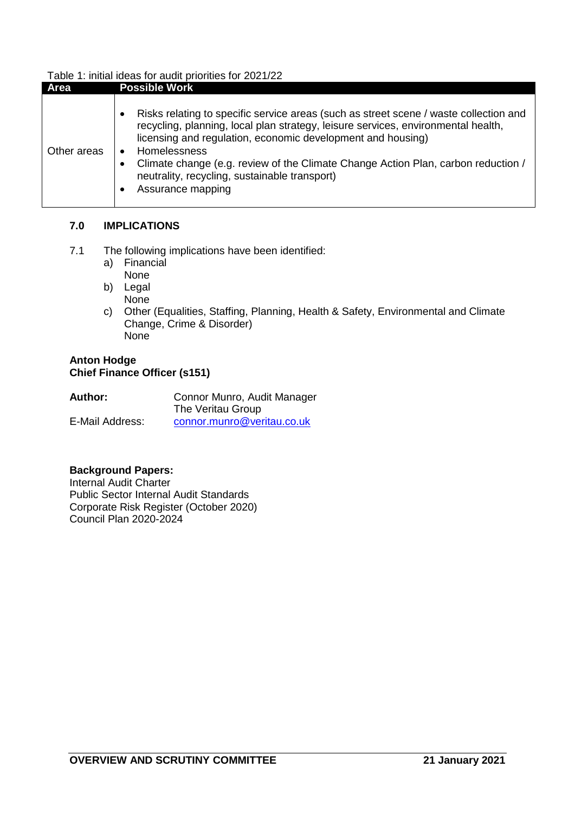# Table 1: initial ideas for audit priorities for 2021/22

| Area        | <b>Possible Work</b>                                                                                                                                                                                                                                                                                                                                                                                                 |
|-------------|----------------------------------------------------------------------------------------------------------------------------------------------------------------------------------------------------------------------------------------------------------------------------------------------------------------------------------------------------------------------------------------------------------------------|
| Other areas | Risks relating to specific service areas (such as street scene / waste collection and<br>recycling, planning, local plan strategy, leisure services, environmental health,<br>licensing and regulation, economic development and housing)<br>Homelessness<br>Climate change (e.g. review of the Climate Change Action Plan, carbon reduction /<br>neutrality, recycling, sustainable transport)<br>Assurance mapping |

## **7.0 IMPLICATIONS**

- 7.1 The following implications have been identified:
	- a) Financial
		- None
	- b) Legal
	- None
	- c) Other (Equalities, Staffing, Planning, Health & Safety, Environmental and Climate Change, Crime & Disorder) **None**

# **Anton Hodge Chief Finance Officer (s151)**

| Author:         | Connor Munro, Audit Manager |
|-----------------|-----------------------------|
|                 | The Veritau Group           |
| E-Mail Address: | connor.munro@veritau.co.uk  |

# **Background Papers:**

Internal Audit Charter Public Sector Internal Audit Standards Corporate Risk Register (October 2020) Council Plan 2020-2024